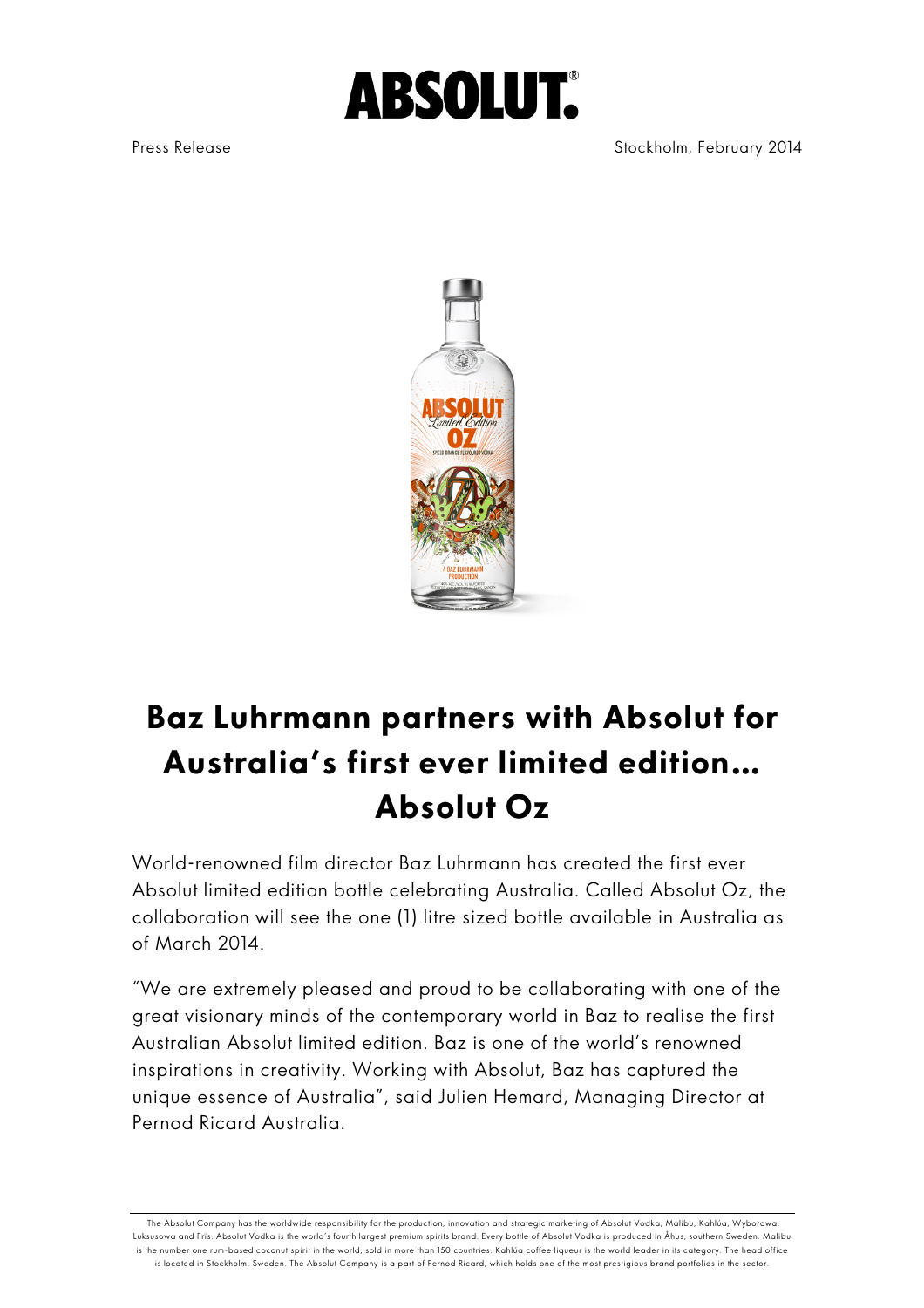## **ABSOLUT.**

Press Release **Stockholm, February 2014** 



## **Baz Luhrmann partners with Absolut for Australia's first ever limited edition… Absolut Oz**

World-renowned film director Baz Luhrmann has created the first ever Absolut limited edition bottle celebrating Australia. Called Absolut Oz, the collaboration will see the one (1) litre sized bottle available in Australia as of March 2014.

"We are extremely pleased and proud to be collaborating with one of the great visionary minds of the contemporary world in Baz to realise the first Australian Absolut limited edition. Baz is one of the world's renowned inspirations in creativity. Working with Absolut, Baz has captured the unique essence of Australia", said Julien Hemard, Managing Director at Pernod Ricard Australia.

The Absolut Company has the worldwide responsibility for the production, innovation and strategic marketing of Absolut Vodka, Malibu, Kahlúa, Wyborowa, Luksusowa and Frïs. Absolut Vodka is the world's fourth largest premium spirits brand. Every bottle of Absolut Vodka is produced in Åhus, southern Sweden. Malibu is the number one rum-based coconut spirit in the world, sold in more than 150 countries. Kahlúa coffee liqueur is the world leader in its category. The head office is located in Stockholm, Sweden. The Absolut Company is a part of Pernod Ricard, which holds one of the most prestigious brand portfolios in the sector.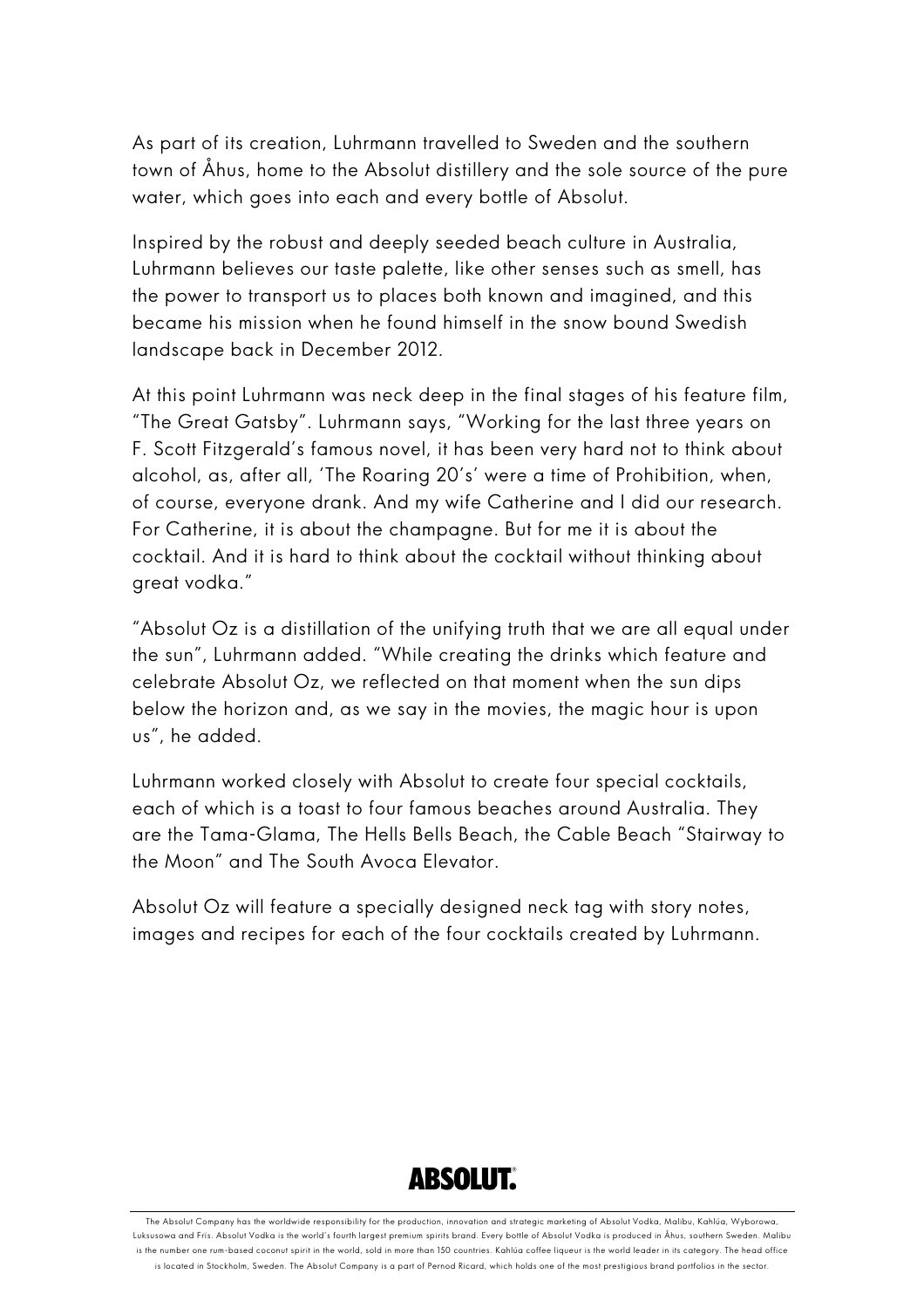As part of its creation, Luhrmann travelled to Sweden and the southern town of Åhus, home to the Absolut distillery and the sole source of the pure water, which goes into each and every bottle of Absolut.

Inspired by the robust and deeply seeded beach culture in Australia, Luhrmann believes our taste palette, like other senses such as smell, has the power to transport us to places both known and imagined, and this became his mission when he found himself in the snow bound Swedish landscape back in December 2012.

At this point Luhrmann was neck deep in the final stages of his feature film, "The Great Gatsby". Luhrmann says, "Working for the last three years on F. Scott Fitzgerald's famous novel, it has been very hard not to think about alcohol, as, after all, 'The Roaring 20's' were a time of Prohibition, when, of course, everyone drank. And my wife Catherine and I did our research. For Catherine, it is about the champagne. But for me it is about the cocktail. And it is hard to think about the cocktail without thinking about great vodka."

"Absolut Oz is a distillation of the unifying truth that we are all equal under the sun", Luhrmann added. "While creating the drinks which feature and celebrate Absolut Oz, we reflected on that moment when the sun dips below the horizon and, as we say in the movies, the magic hour is upon us", he added.

Luhrmann worked closely with Absolut to create four special cocktails, each of which is a toast to four famous beaches around Australia. They are the Tama-Glama, The Hells Bells Beach, the Cable Beach "Stairway to the Moon" and The South Avoca Elevator.

Absolut Oz will feature a specially designed neck tag with story notes, images and recipes for each of the four cocktails created by Luhrmann.



The Absolut Company has the worldwide responsibility for the production, innovation and strategic marketing of Absolut Vodka, Malibu, Kahlúa, Wyborowa, Luksusowa and Frïs. Absolut Vodka is the world's fourth largest premium spirits brand. Every bottle of Absolut Vodka is produced in Åhus, southern Sweden. Malibu is the number one rum-based coconut spirit in the world, sold in more than 150 countries. Kahlúa coffee liqueur is the world leader in its category. The head office is located in Stockholm, Sweden. The Absolut Company is a part of Pernod Ricard, which holds one of the most prestigious brand portfolios in the sector.